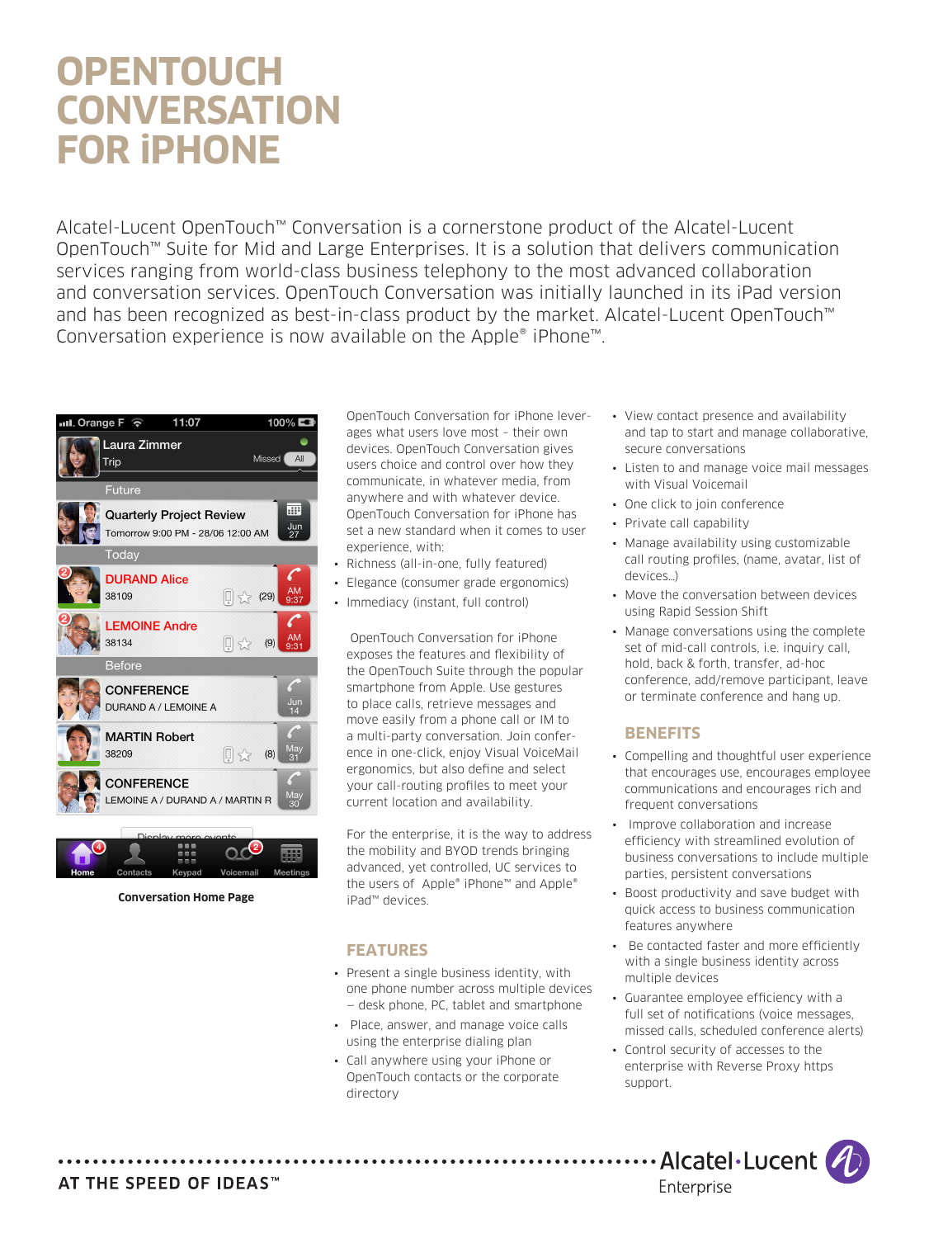# **OPENTOUCH CONVERSATION FOR iPHONE**

Alcatel-Lucent OpenTouch™ Conversation is a cornerstone product of the Alcatel-Lucent OpenTouch™ Suite for Mid and Large Enterprises. It is a solution that delivers communication services ranging from world-class business telephony to the most advanced collaboration and conversation services. OpenTouch Conversation was initially launched in its iPad version and has been recognized as best-in-class product by the market. Alcatel-Lucent OpenTouch™ Conversation experience is now available on the Apple® iPhone™.





**Conversation Home Page**

OpenTouch Conversation for iPhone leverages what users love most – their own devices. OpenTouch Conversation gives users choice and control over how they communicate, in whatever media, from anywhere and with whatever device. OpenTouch Conversation for iPhone has set a new standard when it comes to user experience, with:

- • Richness (all-in-one, fully featured)
- Elegance (consumer grade ergonomics)
- Immediacy (instant, full control)

 OpenTouch Conversation for iPhone exposes the features and flexibility of the OpenTouch Suite through the popular smartphone from Apple. Use gestures to place calls, retrieve messages and move easily from a phone call or IM to a multi-party conversation. Join conference in one-click, enjoy Visual VoiceMail ergonomics, but also define and select your call-routing profiles to meet your current location and availability.

For the enterprise, it is the way to address the mobility and BYOD trends bringing advanced, yet controlled, UC services to the users of Apple® iPhone™ and Apple® iPad™ devices.

# **FEATURES**

- Present a single business identity, with one phone number across multiple devices — desk phone, PC, tablet and smartphone
- • Place, answer, and manage voice calls using the enterprise dialing plan
- Call anywhere using your iPhone or OpenTouch contacts or the corporate directory
- View contact presence and availability and tap to start and manage collaborative, secure conversations
- • Listen to and manage voice mail messages with Visual Voicemail
- One click to join conference
- Private call capability
- Manage availability using customizable call routing profiles, (name, avatar, list of devices…)
- Move the conversation between devices using Rapid Session Shift
- Manage conversations using the complete set of mid-call controls, i.e. inquiry call, hold, back & forth, transfer, ad-hoc conference, add/remove participant, leave or terminate conference and hang up.

# **BENEFITS**

- • Compelling and thoughtful user experience that encourages use, encourages employee communications and encourages rich and frequent conversations
- Improve collaboration and increase efficiency with streamlined evolution of business conversations to include multiple parties, persistent conversations
- Boost productivity and save budget with quick access to business communication features anywhere
- • Be contacted faster and more efficiently with a single business identity across multiple devices
- • Guarantee employee efficiency with a full set of notifications (voice messages, missed calls, scheduled conference alerts)
- • Control security of accesses to the enterprise with Reverse Proxy https support.